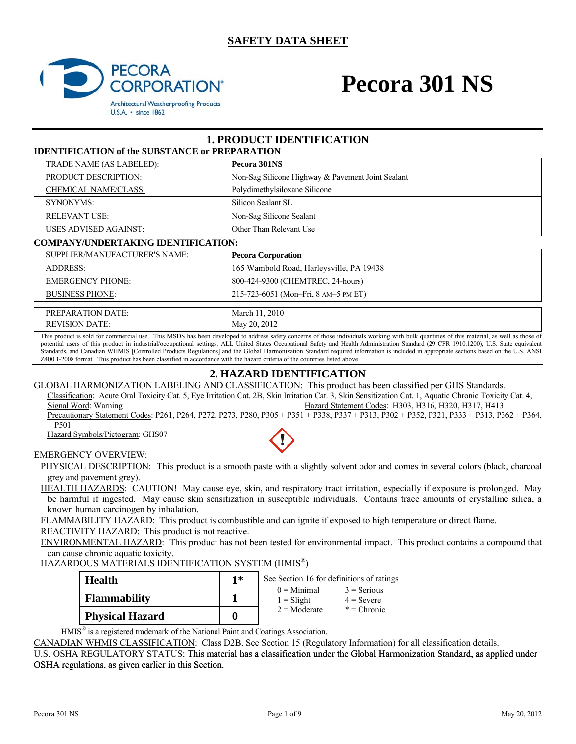#### **SAFETY DATA SHEET**



# **Pecora 301 NS**

#### **1. PRODUCT IDENTIFICATION IDENTIFICATION of the SUBSTANCE or PREPARATION**

| TDENTIFICATION OF the SUDSTANCE OF FINELANATION |                                                   |  |  |  |  |
|-------------------------------------------------|---------------------------------------------------|--|--|--|--|
| TRADE NAME (AS LABELED):                        | Pecora 301NS                                      |  |  |  |  |
| PRODUCT DESCRIPTION:                            | Non-Sag Silicone Highway & Pavement Joint Sealant |  |  |  |  |
| <b>CHEMICAL NAME/CLASS:</b>                     | Polydimethylsiloxane Silicone                     |  |  |  |  |
| <b>SYNONYMS:</b>                                | Silicon Sealant SL                                |  |  |  |  |
| <b>RELEVANT USE:</b>                            | Non-Sag Silicone Sealant                          |  |  |  |  |
| <b>USES ADVISED AGAINST:</b>                    | Other Than Relevant Use                           |  |  |  |  |
| <b>COMPANY/UNDERTAKING IDENTIFICATION:</b>      |                                                   |  |  |  |  |
| SUPPLIER/MANUFACTURER'S NAME:                   | <b>Pecora Corporation</b>                         |  |  |  |  |
| <b>ADDRESS:</b>                                 | 165 Wambold Road, Harleysville, PA 19438          |  |  |  |  |
| <b>EMERGENCY PHONE:</b>                         | 800-424-9300 (CHEMTREC, 24-hours)                 |  |  |  |  |
| <b>BUSINESS PHONE:</b>                          | 215-723-6051 (Mon-Fri, 8 AM-5 PM ET)              |  |  |  |  |
|                                                 |                                                   |  |  |  |  |
| PREPARATION DATE:                               | March 11, 2010                                    |  |  |  |  |
| <b>REVISION DATE:</b>                           | May 20, 2012                                      |  |  |  |  |

This product is sold for commercial use. This MSDS has been developed to address safety concerns of those individuals working with bulk quantities of this material, as well as those of potential users of this product in industrial/occupational settings. ALL United States Occupational Safety and Health Administration Standard (29 CFR 1910.1200), U.S. State equivalent Standards, and Canadian WHMIS [Controlled Products Regulations] and the Global Harmonization Standard required information is included in appropriate sections based on the U.S. ANSI Z400.1-2008 format. This product has been classified in accordance with the hazard criteria of the countries listed above.

#### **2. HAZARD IDENTIFICATION**

GLOBAL HARMONIZATION LABELING AND CLASSIFICATION: This product has been classified per GHS Standards. Classification: Acute Oral Toxicity Cat. 5, Eye Irritation Cat. 2B, Skin Irritation Cat. 3, Skin Sensitization Cat. 1, Aquatic Chronic Toxicity Cat. 4, Signal Word: Warning Hazard Statement Codes: H303, H316, H320, H317, H413

Precautionary Statement Codes: P261, P264, P272, P273, P280, P305 + P351 + P338, P337 + P313, P302 + P352, P321, P333 + P313, P362 + P364, P501

Hazard Symbols/Pictogram: GHS07

#### EMERGENCY OVERVIEW:

PHYSICAL DESCRIPTION: This product is a smooth paste with a slightly solvent odor and comes in several colors (black, charcoal grey and pavement grey).

HEALTH HAZARDS: CAUTION! May cause eye, skin, and respiratory tract irritation, especially if exposure is prolonged. May be harmful if ingested. May cause skin sensitization in susceptible individuals. Contains trace amounts of crystalline silica, a known human carcinogen by inhalation.

FLAMMABILITY HAZARD: This product is combustible and can ignite if exposed to high temperature or direct flame.

REACTIVITY HAZARD: This product is not reactive.

ENVIRONMENTAL HAZARD: This product has not been tested for environmental impact. This product contains a compound that can cause chronic aquatic toxicity.

#### HAZARDOUS MATERIALS IDENTIFICATION SYSTEM (HMIS®)

| <b>Health</b>          | $1*$ | See Section 16 for definitions of ratings       |                                                |  |
|------------------------|------|-------------------------------------------------|------------------------------------------------|--|
| <b>Flammability</b>    |      | $0 =$ Minimal<br>$1 =$ Slight<br>$2 =$ Moderate | $3$ = Serious<br>$4 =$ Severe<br>$*$ = Chronic |  |
| <b>Physical Hazard</b> | 0    |                                                 |                                                |  |

HMIS® is a registered trademark of the National Paint and Coatings Association.

CANADIAN WHMIS CLASSIFICATION: Class D2B. See Section 15 (Regulatory Information) for all classification details.

U.S. OSHA REGULATORY STATUS: This material has a classification under the Global Harmonization Standard, as applied under OSHA regulations, as given earlier in this Section.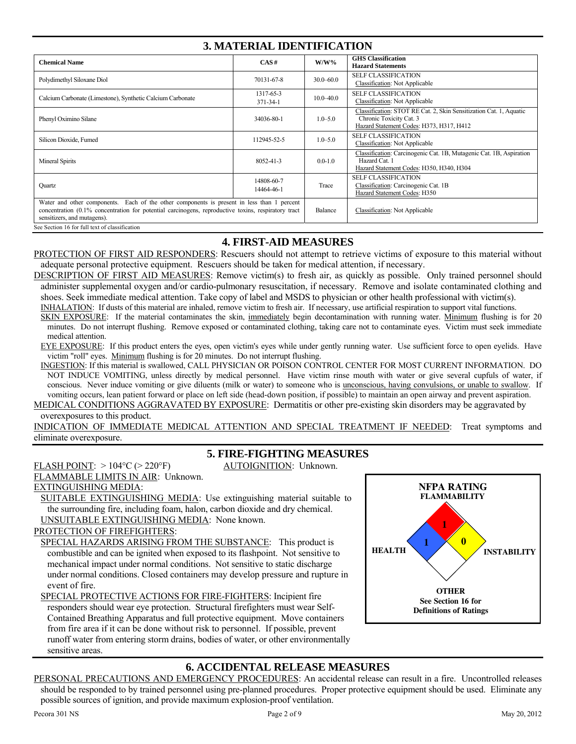| <b>3. MATERIAL IDENTIFICATION</b>                                                                                                                                                                                                |                             |               |                                                                                                                                           |  |
|----------------------------------------------------------------------------------------------------------------------------------------------------------------------------------------------------------------------------------|-----------------------------|---------------|-------------------------------------------------------------------------------------------------------------------------------------------|--|
| <b>Chemical Name</b>                                                                                                                                                                                                             | CAS#                        | $W/W\%$       | <b>GHS</b> Classification<br><b>Hazard Statements</b>                                                                                     |  |
| Polydimethyl Siloxane Diol                                                                                                                                                                                                       | 70131-67-8                  | $30.0 - 60.0$ | <b>SELF CLASSIFICATION</b><br>Classification: Not Applicable                                                                              |  |
| Calcium Carbonate (Limestone), Synthetic Calcium Carbonate                                                                                                                                                                       | 1317-65-3<br>$371 - 34 - 1$ | $10.0 - 40.0$ | <b>SELF CLASSIFICATION</b><br><b>Classification: Not Applicable</b>                                                                       |  |
| Phenyl Oximino Silane                                                                                                                                                                                                            | 34036-80-1                  | $1.0 - 5.0$   | Classification: STOT RE Cat. 2, Skin Sensitization Cat. 1, Aquatic<br>Chronic Toxicity Cat. 3<br>Hazard Statement Codes: H373, H317, H412 |  |
| Silicon Dioxide, Fumed                                                                                                                                                                                                           | 112945-52-5                 | $1.0 - 5.0$   | <b>SELF CLASSIFICATION</b><br>Classification: Not Applicable                                                                              |  |
| Mineral Spirits                                                                                                                                                                                                                  | 8052-41-3                   | $0.0 - 1.0$   | Classification: Carcinogenic Cat. 1B, Mutagenic Cat. 1B, Aspiration<br>Hazard Cat. 1<br>Hazard Statement Codes: H350, H340, H304          |  |
| Quartz                                                                                                                                                                                                                           | 14808-60-7<br>14464-46-1    | Trace         | <b>SELF CLASSIFICATION</b><br>Classification: Carcinogenic Cat. 1B<br>Hazard Statement Codes: H350                                        |  |
| Water and other components. Each of the other components is present in less than 1 percent<br>concentration (0.1% concentration for potential carcinogens, reproductive toxins, respiratory tract<br>sensitizers, and mutagens). |                             |               | Classification: Not Applicable                                                                                                            |  |
| See Section 16 for full text of classification                                                                                                                                                                                   |                             |               |                                                                                                                                           |  |

#### **4. FIRST-AID MEASURES**

PROTECTION OF FIRST AID RESPONDERS: Rescuers should not attempt to retrieve victims of exposure to this material without adequate personal protective equipment. Rescuers should be taken for medical attention, if necessary.

DESCRIPTION OF FIRST AID MEASURES: Remove victim(s) to fresh air, as quickly as possible. Only trained personnel should administer supplemental oxygen and/or cardio-pulmonary resuscitation, if necessary. Remove and isolate contaminated clothing and shoes. Seek immediate medical attention. Take copy of label and MSDS to physician or other health professional with victim(s).

INHALATION: If dusts of this material are inhaled, remove victim to fresh air. If necessary, use artificial respiration to support vital functions.

SKIN EXPOSURE: If the material contaminates the skin, immediately begin decontamination with running water. Minimum flushing is for 20 minutes. Do not interrupt flushing. Remove exposed or contaminated clothing, taking care not to contaminate eyes. Victim must seek immediate medical attention.

EYE EXPOSURE: If this product enters the eyes, open victim's eyes while under gently running water. Use sufficient force to open eyelids. Have victim "roll" eyes. Minimum flushing is for 20 minutes. Do not interrupt flushing.

INGESTION: If this material is swallowed, CALL PHYSICIAN OR POISON CONTROL CENTER FOR MOST CURRENT INFORMATION. DO NOT INDUCE VOMITING, unless directly by medical personnel. Have victim rinse mouth with water or give several cupfuls of water, if conscious. Never induce vomiting or give diluents (milk or water) to someone who is unconscious, having convulsions, or unable to swallow. If vomiting occurs, lean patient forward or place on left side (head-down position, if possible) to maintain an open airway and prevent aspiration.

MEDICAL CONDITIONS AGGRAVATED BY EXPOSURE: Dermatitis or other pre-existing skin disorders may be aggravated by overexposures to this product.

INDICATION OF IMMEDIATE MEDICAL ATTENTION AND SPECIAL TREATMENT IF NEEDED: Treat symptoms and eliminate overexposure.

#### **5. FIRE-FIGHTING MEASURES**

FLASH POINT:  $> 104\degree C$  ( $> 220\degree F$ ) AUTOIGNITION: Unknown.

### FLAMMABLE LIMITS IN AIR: Unknown. EXTINGUISHING MEDIA:

SUITABLE EXTINGUISHING MEDIA: Use extinguishing material suitable to the surrounding fire, including foam, halon, carbon dioxide and dry chemical. UNSUITABLE EXTINGUISHING MEDIA: None known.

#### PROTECTION OF FIREFIGHTERS:

SPECIAL HAZARDS ARISING FROM THE SUBSTANCE: This product is combustible and can be ignited when exposed to its flashpoint. Not sensitive to mechanical impact under normal conditions. Not sensitive to static discharge under normal conditions. Closed containers may develop pressure and rupture in event of fire.

SPECIAL PROTECTIVE ACTIONS FOR FIRE-FIGHTERS: Incipient fire responders should wear eye protection. Structural firefighters must wear Self-Contained Breathing Apparatus and full protective equipment. Move containers from fire area if it can be done without risk to personnel. If possible, prevent runoff water from entering storm drains, bodies of water, or other environmentally sensitive areas.



#### **6. ACCIDENTAL RELEASE MEASURES**

PERSONAL PRECAUTIONS AND EMERGENCY PROCEDURES: An accidental release can result in a fire. Uncontrolled releases should be responded to by trained personnel using pre-planned procedures. Proper protective equipment should be used. Eliminate any possible sources of ignition, and provide maximum explosion-proof ventilation.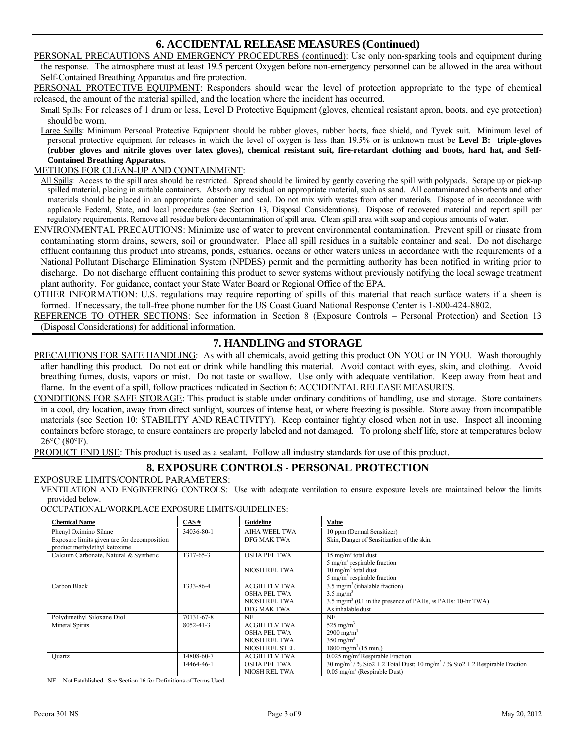#### **6. ACCIDENTAL RELEASE MEASURES (Continued)**

PERSONAL PRECAUTIONS AND EMERGENCY PROCEDURES (continued): Use only non-sparking tools and equipment during the response. The atmosphere must at least 19.5 percent Oxygen before non-emergency personnel can be allowed in the area without Self-Contained Breathing Apparatus and fire protection.

PERSONAL PROTECTIVE EQUIPMENT: Responders should wear the level of protection appropriate to the type of chemical released, the amount of the material spilled, and the location where the incident has occurred.

Small Spills: For releases of 1 drum or less, Level D Protective Equipment (gloves, chemical resistant apron, boots, and eye protection) should be worn.

Large Spills: Minimum Personal Protective Equipment should be rubber gloves, rubber boots, face shield, and Tyvek suit. Minimum level of personal protective equipment for releases in which the level of oxygen is less than 19.5% or is unknown must be **Level B: triple-gloves (rubber gloves and nitrile gloves over latex gloves), chemical resistant suit, fire-retardant clothing and boots, hard hat, and Self-Contained Breathing Apparatus.** 

#### METHODS FOR CLEAN-UP AND CONTAINMENT:

All Spills: Access to the spill area should be restricted. Spread should be limited by gently covering the spill with polypads. Scrape up or pick-up spilled material, placing in suitable containers. Absorb any residual on appropriate material, such as sand. All contaminated absorbents and other materials should be placed in an appropriate container and seal. Do not mix with wastes from other materials. Dispose of in accordance with applicable Federal, State, and local procedures (see Section 13, Disposal Considerations). Dispose of recovered material and report spill per regulatory requirements. Remove all residue before decontamination of spill area. Clean spill area with soap and copious amounts of water.

ENVIRONMENTAL PRECAUTIONS: Minimize use of water to prevent environmental contamination. Prevent spill or rinsate from contaminating storm drains, sewers, soil or groundwater. Place all spill residues in a suitable container and seal. Do not discharge effluent containing this product into streams, ponds, estuaries, oceans or other waters unless in accordance with the requirements of a National Pollutant Discharge Elimination System (NPDES) permit and the permitting authority has been notified in writing prior to discharge. Do not discharge effluent containing this product to sewer systems without previously notifying the local sewage treatment plant authority. For guidance, contact your State Water Board or Regional Office of the EPA.

OTHER INFORMATION: U.S. regulations may require reporting of spills of this material that reach surface waters if a sheen is formed. If necessary, the toll-free phone number for the US Coast Guard National Response Center is 1-800-424-8802.

REFERENCE TO OTHER SECTIONS: See information in Section 8 (Exposure Controls – Personal Protection) and Section 13 (Disposal Considerations) for additional information.

#### **7. HANDLING and STORAGE**

PRECAUTIONS FOR SAFE HANDLING: As with all chemicals, avoid getting this product ON YOU or IN YOU. Wash thoroughly after handling this product. Do not eat or drink while handling this material. Avoid contact with eyes, skin, and clothing. Avoid breathing fumes, dusts, vapors or mist. Do not taste or swallow. Use only with adequate ventilation. Keep away from heat and flame. In the event of a spill, follow practices indicated in Section 6: ACCIDENTAL RELEASE MEASURES.

CONDITIONS FOR SAFE STORAGE: This product is stable under ordinary conditions of handling, use and storage. Store containers in a cool, dry location, away from direct sunlight, sources of intense heat, or where freezing is possible. Store away from incompatible materials (see Section 10: STABILITY AND REACTIVITY). Keep container tightly closed when not in use. Inspect all incoming containers before storage, to ensure containers are properly labeled and not damaged. To prolong shelf life, store at temperatures below 26°C (80°F).

PRODUCT END USE: This product is used as a sealant. Follow all industry standards for use of this product.

### **8. EXPOSURE CONTROLS - PERSONAL PROTECTION**

#### EXPOSURE LIMITS/CONTROL PARAMETERS:

VENTILATION AND ENGINEERING CONTROLS: Use with adequate ventilation to ensure exposure levels are maintained below the limits provided below.

#### OCCUPATIONAL/WORKPLACE EXPOSURE LIMITS/GUIDELINES:

| Chemical Name                               | CAS#       | <b>Guideline</b>     | Value                                                                                                               |
|---------------------------------------------|------------|----------------------|---------------------------------------------------------------------------------------------------------------------|
| Phenyl Oximino Silane                       | 34036-80-1 | AIHA WEEL TWA        | 10 ppm (Dermal Sensitizer)                                                                                          |
| Exposure limits given are for decomposition |            | DFG MAK TWA          | Skin, Danger of Sensitization of the skin.                                                                          |
| product methylethyl ketoxime                |            |                      |                                                                                                                     |
| Calcium Carbonate, Natural & Synthetic      | 1317-65-3  | <b>OSHA PEL TWA</b>  | $15 \text{ mg/m}^3$ total dust                                                                                      |
|                                             |            |                      | 5 mg/m <sup>3</sup> respirable fraction                                                                             |
|                                             |            | NIOSH REL TWA        | $10 \text{ mg/m}^3$ total dust                                                                                      |
|                                             |            |                      | $5 \text{ mg/m}^3$ respirable fraction                                                                              |
| Carbon Black                                | 1333-86-4  | <b>ACGIH TLV TWA</b> | $3.5 \text{ mg/m}^3$ (inhalable fraction)                                                                           |
|                                             |            | <b>OSHA PEL TWA</b>  | $3.5 \text{ mg/m}^3$                                                                                                |
|                                             |            | <b>NIOSH REL TWA</b> | $3.5 \text{ mg/m}^3$ (0.1 in the presence of PAHs, as PAHs: 10-hr TWA)                                              |
|                                             |            | DFG MAK TWA          | As inhalable dust                                                                                                   |
| Polydimethyl Siloxane Diol                  | 70131-67-8 | <b>NE</b>            | <b>NE</b>                                                                                                           |
| Mineral Spirits                             | 8052-41-3  | <b>ACGIH TLV TWA</b> | 525 mg/m <sup>3</sup>                                                                                               |
|                                             |            | <b>OSHA PEL TWA</b>  | $2900 \text{ mg/m}^3$                                                                                               |
|                                             |            | NIOSH REL TWA        | $350 \text{ mg/m}^3$                                                                                                |
|                                             |            | NIOSH REL STEL       | $1800 \text{ mg/m}^3 (15 \text{ min.})$                                                                             |
| Quartz                                      | 14808-60-7 | <b>ACGIH TLV TWA</b> | $0.025$ mg/m <sup>3</sup> Respirable Fraction                                                                       |
|                                             | 14464-46-1 | <b>OSHA PEL TWA</b>  | $30 \text{ mg/m}^3$ / % $\text{Sio2}$ + 2 Total Dust; $10 \text{ mg/m}^3$ / % $\text{Sio2}$ + 2 Respirable Fraction |
|                                             |            | <b>NIOSH REL TWA</b> | $0.05$ mg/m <sup>3</sup> (Respirable Dust)                                                                          |

NE = Not Established. See Section 16 for Definitions of Terms Used.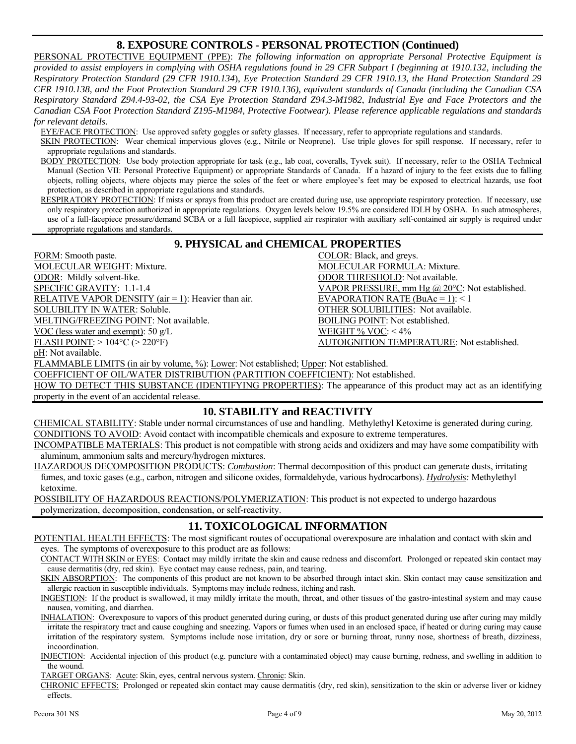#### **8. EXPOSURE CONTROLS - PERSONAL PROTECTION (Continued)**

PERSONAL PROTECTIVE EQUIPMENT (PPE): *The following information on appropriate Personal Protective Equipment is provided to assist employers in complying with OSHA regulations found in 29 CFR Subpart I (beginning at 1910.132, including the Respiratory Protection Standard (29 CFR 1910.134*), *Eye Protection Standard 29 CFR 1910.13, the Hand Protection Standard 29 CFR 1910.138, and the Foot Protection Standard 29 CFR 1910.136), equivalent standards of Canada (including the Canadian CSA Respiratory Standard Z94.4-93-02, the CSA Eye Protection Standard Z94.3-M1982*, *Industrial Eye and Face Protectors and the Canadian CSA Foot Protection Standard Z195-M1984, Protective Footwear). Please reference applicable regulations and standards for relevant details.*

EYE/FACE PROTECTION: Use approved safety goggles or safety glasses. If necessary, refer to appropriate regulations and standards.

SKIN PROTECTION: Wear chemical impervious gloves (e.g., Nitrile or Neoprene). Use triple gloves for spill response. If necessary, refer to appropriate regulations and standards.

BODY PROTECTION: Use body protection appropriate for task (e.g., lab coat, coveralls, Tyvek suit). If necessary, refer to the OSHA Technical Manual (Section VII: Personal Protective Equipment) or appropriate Standards of Canada. If a hazard of injury to the feet exists due to falling objects, rolling objects, where objects may pierce the soles of the feet or where employee's feet may be exposed to electrical hazards, use foot protection, as described in appropriate regulations and standards.

RESPIRATORY PROTECTION: If mists or sprays from this product are created during use, use appropriate respiratory protection. If necessary, use only respiratory protection authorized in appropriate regulations. Oxygen levels below 19.5% are considered IDLH by OSHA. In such atmospheres, use of a full-facepiece pressure/demand SCBA or a full facepiece, supplied air respirator with auxiliary self-contained air supply is required under appropriate regulations and standards.

#### **9. PHYSICAL and CHEMICAL PROPERTIES**

FORM: Smooth paste. COLOR: Black, and greys. MOLECULAR WEIGHT: Mixture. MOLECULAR FORMULA: Mixture. ODOR: Mildly solvent-like. ODOR THRESHOLD: Not available. SPECIFIC GRAVITY: 1.1-1.4 VAPOR PRESSURE, mm Hg @ 20°C: Not established. RELATIVE VAPOR DENSITY (air = 1): Heavier than air. EVAPORATION RATE (BuAc = 1): < 1 SOLUBILITY IN WATER: Soluble. OTHER SOLUBILITIES: Not available. MELTING/FREEZING POINT: Not available. BOILING POINT: Not established.

VOC (less water and exempt):  $50 \text{ g/L}$  WEIGHT % VOC: < 4% FLASH POINT: > 104°C (> 220°F) AUTOIGNITION TEMPERATURE: Not established.

pH: Not available.

FLAMMABLE LIMITS (in air by volume, %): Lower: Not established; Upper: Not established.

COEFFICIENT OF OIL/WATER DISTRIBUTION (PARTITION COEFFICIENT): Not established.

HOW TO DETECT THIS SUBSTANCE (IDENTIFYING PROPERTIES): The appearance of this product may act as an identifying property in the event of an accidental release.

#### **10. STABILITY and REACTIVITY**

CHEMICAL STABILITY: Stable under normal circumstances of use and handling. Methylethyl Ketoxime is generated during curing. CONDITIONS TO AVOID: Avoid contact with incompatible chemicals and exposure to extreme temperatures.

INCOMPATIBLE MATERIALS: This product is not compatible with strong acids and oxidizers and may have some compatibility with aluminum, ammonium salts and mercury/hydrogen mixtures.

HAZARDOUS DECOMPOSITION PRODUCTS: *Combustion*: Thermal decomposition of this product can generate dusts, irritating fumes, and toxic gases (e.g., carbon, nitrogen and silicone oxides, formaldehyde, various hydrocarbons). *Hydrolysis:* Methylethyl ketoxime.

POSSIBILITY OF HAZARDOUS REACTIONS/POLYMERIZATION: This product is not expected to undergo hazardous polymerization, decomposition, condensation, or self-reactivity.

#### **11. TOXICOLOGICAL INFORMATION**

POTENTIAL HEALTH EFFECTS: The most significant routes of occupational overexposure are inhalation and contact with skin and eyes. The symptoms of overexposure to this product are as follows:

CONTACT WITH SKIN or EYES: Contact may mildly irritate the skin and cause redness and discomfort. Prolonged or repeated skin contact may cause dermatitis (dry, red skin). Eye contact may cause redness, pain, and tearing.

SKIN ABSORPTION: The components of this product are not known to be absorbed through intact skin. Skin contact may cause sensitization and allergic reaction in susceptible individuals. Symptoms may include redness, itching and rash.

INGESTION: If the product is swallowed, it may mildly irritate the mouth, throat, and other tissues of the gastro-intestinal system and may cause nausea, vomiting, and diarrhea.

INHALATION: Overexposure to vapors of this product generated during curing, or dusts of this product generated during use after curing may mildly irritate the respiratory tract and cause coughing and sneezing. Vapors or fumes when used in an enclosed space, if heated or during curing may cause irritation of the respiratory system. Symptoms include nose irritation, dry or sore or burning throat, runny nose, shortness of breath, dizziness, incoordination.

INJECTION: Accidental injection of this product (e.g. puncture with a contaminated object) may cause burning, redness, and swelling in addition to the wound.

TARGET ORGANS: Acute: Skin, eyes, central nervous system. Chronic: Skin.

CHRONIC EFFECTS: Prolonged or repeated skin contact may cause dermatitis (dry, red skin), sensitization to the skin or adverse liver or kidney effects.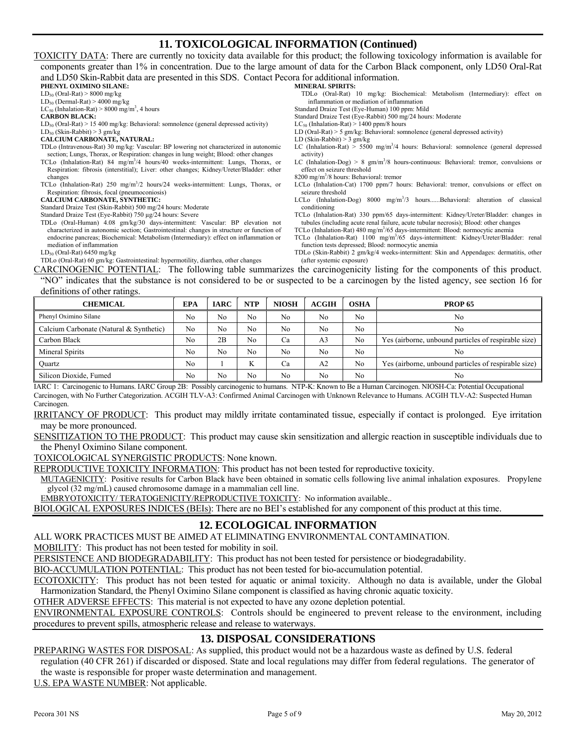#### **11. TOXICOLOGICAL INFORMATION (Continued)**

TOXICITY DATA: There are currently no toxicity data available for this product; the following toxicology information is available for components greater than 1% in concentration. Due to the large amount of data for the Carbon Black component, only LD50 Oral-Rat and LD50 Skin-Rabbit data are presented in this SDS. Contact Pecora for additional information. **PHENYL OXIMINO SILANE:**   $LD_{50}$  (Oral-Rat) > 8000 mg/kg **MINERAL SPIRITS:**  TDLo (Oral-Rat) 10 mg/kg: Biochemical: Metabolism (Intermediary): effect on

 $LD_{50}$  (Dermal-Rat) > 4000 mg/kg

 $LC_{50}$  (Inhalation-Rat) > 8000 mg/m<sup>3</sup>, 4 hours

**CARBON BLACK:** 

 $LD_{50}$  (Oral-Rat) > 15 400 mg/kg: Behavioral: somnolence (general depressed activity)

 $LD_{50}$  (Skin-Rabbit) > 3 gm/kg

#### **CALCIUM CARBONATE, NATURAL:**

TDLo (Intravenous-Rat) 30 mg/kg: Vascular: BP lowering not characterized in autonomic

- section; Lungs, Thorax, or Respiration: changes in lung weight; Blood: other changes TCLo (Inhalation-Rat) 84 mg/m<sup>3</sup>/4 hours/40 weeks-intermittent: Lungs, Thorax, or
- Respiration: fibrosis (interstitial); Liver: other changes; Kidney/Ureter/Bladder: other changes
- TCLo (Inhalation-Rat) 250 mg/m<sup>3</sup>/2 hours/24 weeks-intermittent: Lungs, Thorax, or Respiration: fibrosis, focal (pneumoconiosis)

#### **CALCIUM CARBONATE, SYNTHETIC:**

Standard Draize Test (Skin-Rabbit) 500 mg/24 hours: Moderate

Standard Draize Test (Eye-Rabbit) 750 µg/24 hours: Severe

TDLo (Oral-Human) 4.08 gm/kg/30 days-intermittent: Vascular: BP elevation not characterized in autonomic section; Gastrointestinal: changes in structure or function of endocrine pancreas; Biochemical: Metabolism (Intermediary): effect on inflammation or mediation of inflammation

LD50 (Oral-Rat) 6450 mg/kg

TDLo (Oral-Rat) 60 gm/kg: Gastrointestinal: hypermotility, diarrhea, other changes

- inflammation or mediation of inflammation
- Standard Draize Test (Eye-Human) 100 ppm: Mild

Standard Draize Test (Eye-Rabbit) 500 mg/24 hours: Moderate

 $LC_{50}$  (Inhalation-Rat) > 1400 ppm/8 hours

LD (Oral-Rat) > 5 gm/kg: Behavioral: somnolence (general depressed activity)

LD (Skin-Rabbit) > 3 gm/kg

- LC (Inhalation-Rat)  $> 5500 \text{ mg/m}^3/4$  hours: Behavioral: somnolence (general depressed activity)
- LC (Inhalation-Dog) > 8 gm/m<sup>3</sup>/8 hours-continuous: Behavioral: tremor, convulsions or effect on seizure threshold

8200 mg/m3 /8 hours: Behavioral: tremor

- LCLo (Inhalation-Cat) 1700 ppm/7 hours: Behavioral: tremor, convulsions or effect on seizure threshold
- LCLo (Inhalation-Dog) 8000 mg/m<sup>3</sup>/3 hours......Behavioral: alteration of classical conditioning

TCLo (Inhalation-Rat) 330 ppm/65 days-intermittent: Kidney/Ureter/Bladder: changes in tubules (including acute renal failure, acute tubular necrosis); Blood: other changes

- TCLo (Inhalation-Rat) 480 mg/m<sup>3</sup>/65 days-intermittent: Blood: normocytic anemia
- TCLo (Inhalation-Rat) 1100 mg/m<sup>3</sup>/65 days-intermittent: Kidney/Ureter/Bladder: renal function tests depressed; Blood: normocytic anemia
- TDLo (Skin-Rabbit) 2 gm/kg/4 weeks-intermittent: Skin and Appendages: dermatitis, other (after systemic exposure)

CARCINOGENIC POTENTIAL: The following table summarizes the carcinogenicity listing for the components of this product. "NO" indicates that the substance is not considered to be or suspected to be a carcinogen by the listed agency, see section 16 for

#### definitions of other ratings.

| <b>CHEMICAL</b>                         | EPA            | <b>IARC</b>    | <b>NTP</b>     | <b>NIOSH</b>   | <b>ACGIH</b>   | <b>OSHA</b> | <b>PROP 65</b>                                       |
|-----------------------------------------|----------------|----------------|----------------|----------------|----------------|-------------|------------------------------------------------------|
| Phenyl Oximino Silane                   | No             | No             | No             | N <sub>0</sub> | No             | No          | No                                                   |
| Calcium Carbonate (Natural & Synthetic) | No             | N <sub>0</sub> | No             | No             | No             | No          | No                                                   |
| Carbon Black                            | No             | 2B             | N <sub>0</sub> | Ca             | A3             | No          | Yes (airborne, unbound particles of respirable size) |
| Mineral Spirits                         | No             | No             | N <sub>0</sub> | N <sub>0</sub> | No             | No          | No                                                   |
| Ouartz                                  | N <sub>0</sub> |                | T<br>N         | Ca             | A <sub>2</sub> | No          | Yes (airborne, unbound particles of respirable size) |
| Silicon Dioxide, Fumed                  | No             | No             | N <sub>0</sub> | No             | No             | No          | No                                                   |

IARC 1: Carcinogenic to Humans. IARC Group 2B: Possibly carcinogenic to humans. NTP-K: Known to Be a Human Carcinogen. NIOSH-Ca: Potential Occupational Carcinogen, with No Further Categorization. ACGIH TLV-A3: Confirmed Animal Carcinogen with Unknown Relevance to Humans. ACGIH TLV-A2: Suspected Human Carcinogen.

IRRITANCY OF PRODUCT: This product may mildly irritate contaminated tissue, especially if contact is prolonged. Eye irritation may be more pronounced.

SENSITIZATION TO THE PRODUCT: This product may cause skin sensitization and allergic reaction in susceptible individuals due to the Phenyl Oximino Silane component.

TOXICOLOGICAL SYNERGISTIC PRODUCTS: None known.

REPRODUCTIVE TOXICITY INFORMATION: This product has not been tested for reproductive toxicity.

MUTAGENICITY: Positive results for Carbon Black have been obtained in somatic cells following live animal inhalation exposures. Propylene glycol (32 mg/mL) caused chromosome damage in a mammalian cell line.

EMBRYOTOXICITY/ TERATOGENICITY/REPRODUCTIVE TOXICITY: No information available..

BIOLOGICAL EXPOSURES INDICES (BEIs): There are no BEI's established for any component of this product at this time.

#### **12. ECOLOGICAL INFORMATION**

ALL WORK PRACTICES MUST BE AIMED AT ELIMINATING ENVIRONMENTAL CONTAMINATION.

MOBILITY: This product has not been tested for mobility in soil.

PERSISTENCE AND BIODEGRADABILITY: This product has not been tested for persistence or biodegradability.

BIO-ACCUMULATION POTENTIAL: This product has not been tested for bio-accumulation potential.

ECOTOXICITY: This product has not been tested for aquatic or animal toxicity. Although no data is available, under the Global Harmonization Standard, the Phenyl Oximino Silane component is classified as having chronic aquatic toxicity.

OTHER ADVERSE EFFECTS: This material is not expected to have any ozone depletion potential.

ENVIRONMENTAL EXPOSURE CONTROLS: Controls should be engineered to prevent release to the environment, including procedures to prevent spills, atmospheric release and release to waterways.

#### **13. DISPOSAL CONSIDERATIONS**

PREPARING WASTES FOR DISPOSAL: As supplied, this product would not be a hazardous waste as defined by U.S. federal regulation (40 CFR 261) if discarded or disposed. State and local regulations may differ from federal regulations. The generator of

the waste is responsible for proper waste determination and management.

U.S. EPA WASTE NUMBER: Not applicable.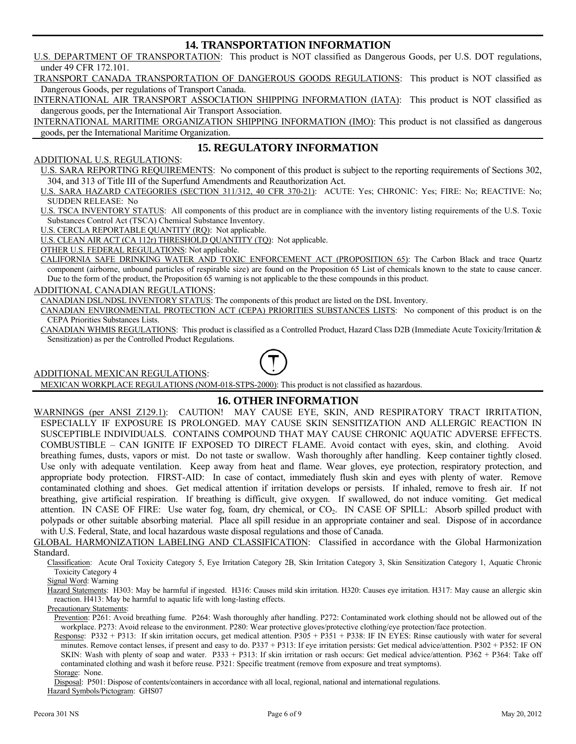#### **14. TRANSPORTATION INFORMATION**

U.S. DEPARTMENT OF TRANSPORTATION: This product is NOT classified as Dangerous Goods, per U.S. DOT regulations, under 49 CFR 172.101.

TRANSPORT CANADA TRANSPORTATION OF DANGEROUS GOODS REGULATIONS: This product is NOT classified as Dangerous Goods, per regulations of Transport Canada.

INTERNATIONAL AIR TRANSPORT ASSOCIATION SHIPPING INFORMATION (IATA): This product is NOT classified as dangerous goods, per the International Air Transport Association.

INTERNATIONAL MARITIME ORGANIZATION SHIPPING INFORMATION (IMO): This product is not classified as dangerous goods, per the International Maritime Organization.

#### **15. REGULATORY INFORMATION**

#### ADDITIONAL U.S. REGULATIONS:

U.S. SARA REPORTING REQUIREMENTS: No component of this product is subject to the reporting requirements of Sections 302, 304, and 313 of Title III of the Superfund Amendments and Reauthorization Act.

U.S. SARA HAZARD CATEGORIES (SECTION 311/312, 40 CFR 370-21): ACUTE: Yes; CHRONIC: Yes; FIRE: No; REACTIVE: No; SUDDEN RELEASE: No

U.S. TSCA INVENTORY STATUS: All components of this product are in compliance with the inventory listing requirements of the U.S. Toxic Substances Control Act (TSCA) Chemical Substance Inventory.

U.S. CERCLA REPORTABLE QUANTITY (RQ): Not applicable.

U.S. CLEAN AIR ACT (CA 112r) THRESHOLD QUANTITY (TQ): Not applicable.

OTHER U.S. FEDERAL REGULATIONS: Not applicable.

CALIFORNIA SAFE DRINKING WATER AND TOXIC ENFORCEMENT ACT (PROPOSITION 65): The Carbon Black and trace Quartz component (airborne, unbound particles of respirable size) are found on the Proposition 65 List of chemicals known to the state to cause cancer. Due to the form of the product, the Proposition 65 warning is not applicable to the these compounds in this product.

#### ADDITIONAL CANADIAN REGULATIONS:

CANADIAN DSL/NDSL INVENTORY STATUS: The components of this product are listed on the DSL Inventory.

CANADIAN ENVIRONMENTAL PROTECTION ACT (CEPA) PRIORITIES SUBSTANCES LISTS: No component of this product is on the CEPA Priorities Substances Lists.

CANADIAN WHMIS REGULATIONS: This product is classified as a Controlled Product, Hazard Class D2B (Immediate Acute Toxicity/Irritation & Sensitization) as per the Controlled Product Regulations.

ADDITIONAL MEXICAN REGULATIONS:

MEXICAN WORKPLACE REGULATIONS (NOM-018-STPS-2000): This product is not classified as hazardous.

#### **16. OTHER INFORMATION**

WARNINGS (per ANSI Z129.1): CAUTION! MAY CAUSE EYE, SKIN, AND RESPIRATORY TRACT IRRITATION, ESPECIALLY IF EXPOSURE IS PROLONGED. MAY CAUSE SKIN SENSITIZATION AND ALLERGIC REACTION IN SUSCEPTIBLE INDIVIDUALS. CONTAINS COMPOUND THAT MAY CAUSE CHRONIC AQUATIC ADVERSE EFFECTS. COMBUSTIBLE – CAN IGNITE IF EXPOSED TO DIRECT FLAME. Avoid contact with eyes, skin, and clothing. Avoid breathing fumes, dusts, vapors or mist. Do not taste or swallow. Wash thoroughly after handling. Keep container tightly closed. Use only with adequate ventilation. Keep away from heat and flame. Wear gloves, eye protection, respiratory protection, and appropriate body protection. FIRST-AID: In case of contact, immediately flush skin and eyes with plenty of water. Remove contaminated clothing and shoes. Get medical attention if irritation develops or persists. If inhaled, remove to fresh air. If not breathing, give artificial respiration. If breathing is difficult, give oxygen. If swallowed, do not induce vomiting. Get medical attention. IN CASE OF FIRE: Use water fog, foam, dry chemical, or CO<sub>2</sub>. IN CASE OF SPILL: Absorb spilled product with polypads or other suitable absorbing material. Place all spill residue in an appropriate container and seal. Dispose of in accordance with U.S. Federal, State, and local hazardous waste disposal regulations and those of Canada.

#### GLOBAL HARMONIZATION LABELING AND CLASSIFICATION: Classified in accordance with the Global Harmonization Standard.

Classification: Acute Oral Toxicity Category 5, Eye Irritation Category 2B, Skin Irritation Category 3, Skin Sensitization Category 1, Aquatic Chronic Toxicity Category 4

Signal Word: Warning

Hazard Statements: H303: May be harmful if ingested. H316: Causes mild skin irritation. H320: Causes eye irritation. H317: May cause an allergic skin reaction. H413: May be harmful to aquatic life with long-lasting effects.

Precautionary Statements:

Prevention: P261: Avoid breathing fume. P264: Wash thoroughly after handling. P272: Contaminated work clothing should not be allowed out of the workplace. P273: Avoid release to the environment. P280: Wear protective gloves/protective clothing/eye protection/face protection.

Response: P332 + P313: If skin irritation occurs, get medical attention. P305 + P351 + P338: IF IN EYES: Rinse cautiously with water for several minutes. Remove contact lenses, if present and easy to do. P337 + P313: If eye irritation persists: Get medical advice/attention. P302 + P352: IF ON SKIN: Wash with plenty of soap and water. P333 + P313: If skin irritation or rash occurs: Get medical advice/attention. P362 + P364: Take off contaminated clothing and wash it before reuse. P321: Specific treatment (remove from exposure and treat symptoms). Storage: None.

Disposal: P501: Dispose of contents/containers in accordance with all local, regional, national and international regulations. Hazard Symbols/Pictogram: GHS07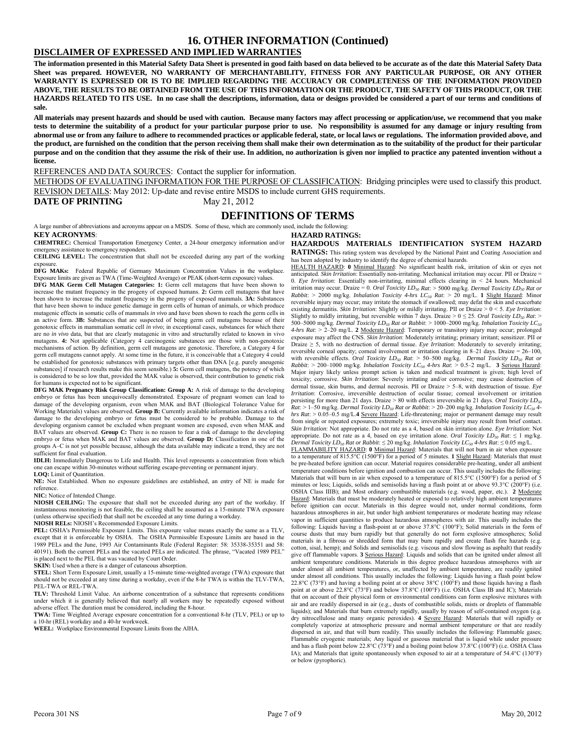#### **16. OTHER INFORMATION (Continued)**

#### **DISCLAIMER OF EXPRESSED AND IMPLIED WARRANTIES**

**The information presented in this Material Safety Data Sheet is presented in good faith based on data believed to be accurate as of the date this Material Safety Data Sheet was prepared. HOWEVER, NO WARRANTY OF MERCHANTABILITY, FITNESS FOR ANY PARTICULAR PURPOSE, OR ANY OTHER WARRANTY IS EXPRESSED OR IS TO BE IMPLIED REGARDING THE ACCURACY OR COMPLETENESS OF THE INFORMATION PROVIDED ABOVE, THE RESULTS TO BE OBTAINED FROM THE USE OF THIS INFORMATION OR THE PRODUCT, THE SAFETY OF THIS PRODUCT, OR THE HAZARDS RELATED TO ITS USE. In no case shall the descriptions, information, data or designs provided be considered a part of our terms and conditions of sale.** 

**All materials may present hazards and should be used with caution. Because many factors may affect processing or application/use, we recommend that you make tests to determine the suitability of a product for your particular purpose prior to use. No responsibility is assumed for any damage or injury resulting from abnormal use or from any failure to adhere to recommended practices or applicable federal, state, or local laws or regulations. The information provided above, and the product, are furnished on the condition that the person receiving them shall make their own determination as to the suitability of the product for their particular purpose and on the condition that they assume the risk of their use. In addition, no authorization is given nor implied to practice any patented invention without a license.** 

REFERENCES AND DATA SOURCES: Contact the supplier for information.

METHODS OF EVALUATING INFORMATION FOR THE PURPOSE OF CLASSIFICATION: Bridging principles were used to classify this product. REVISION DETAILS: May 2012: Up-date and revise entire MSDS to include current GHS requirements.

#### **DATE OF PRINTING** May 21, 2012

#### **DEFINITIONS OF TERMS**

A large number of abbreviations and acronyms appear on a MSDS. Some of these, which are commonly used, include the following: **KEY ACRONYMS**:

**CHEMTREC:** Chemical Transportation Emergency Center, a 24-hour emergency information and/or emergency assistance to emergency responders.

**CEILING LEVEL:** The concentration that shall not be exceeded during any part of the working exposure.

**DFG MAKs:** Federal Republic of Germany Maximum Concentration Values in the workplace. Exposure limits are given as TWA (Time-Weighted Average) or PEAK (short-term exposure) values.

**DFG MAK Germ Cell Mutagen Categories: 1:** Germ cell mutagens that have been shown to increase the mutant frequency in the progeny of exposed humans. **2:** Germ cell mutagens that have been shown to increase the mutant frequency in the progeny of exposed mammals. **3A:** Substances that have been shown to induce genetic damage in germ cells of human of animals, or which produce mutagenic effects in somatic cells of mammals *in vivo* and have been shown to reach the germ cells in an active form. **3B:** Substances that are suspected of being germ cell mutagens because of their genotoxic effects in mammalian somatic cell *in vivo*; in exceptional cases, substances for which there are no *in vivo* data, but that are clearly mutagenic in vitro and structurally related to known in vivo mutagens. **4:** Not applicable (Category 4 carcinogenic substances are those with non-genotoxic mechanisms of action. By definition, germ cell mutagens are genotoxic. Therefore, a Category 4 for germ cell mutagens cannot apply. At some time in the future, it is conceivable that a Category 4 could be established for genotoxic substances with primary targets other than DNA [e.g. purely aneugenic substances] if research results make this seem sensible.) **5:** Germ cell mutagens, the potency of which is considered to be so low that, provided the MAK value is observed, their contribution to genetic risk for humans is expected not to be significant.

**DFG MAK Pregnancy Risk Group Classification: Group A:** A risk of damage to the developing embryo or fetus has been unequivocally demonstrated. Exposure of pregnant women can lead to damage of the developing organism, even when MAK and BAT (Biological Tolerance Value for Working Materials) values are observed. **Group B:** Currently available information indicates a risk of damage to the developing embryo or fetus must be considered to be probable. Damage to the developing organism cannot be excluded when pregnant women are exposed, even when MAK and BAT values are observed. **Group C:** There is no reason to fear a risk of damage to the developing embryo or fetus when MAK and BAT values are observed. **Group D:** Classification in one of the groups A–C is not yet possible because, although the data available may indicate a trend, they are not sufficient for final evaluation.

**IDLH:** Immediately Dangerous to Life and Health. This level represents a concentration from which one can escape within 30-minutes without suffering escape-preventing or permanent injury. **LOQ:** Limit of Quantitation.

**NE:** Not Established. When no exposure guidelines are established, an entry of NE is made for reference.

**NIC:** Notice of Intended Change.

**NIOSH CEILING:** The exposure that shall not be exceeded during any part of the workday. If instantaneous monitoring is not feasible, the ceiling shall be assumed as a 15-minute TWA exposure (unless otherwise specified) that shall not be exceeded at any time during a workday.

**NIOSH RELs:** NIOSH's Recommended Exposure Limits.

**PEL:** OSHA's Permissible Exposure Limits. This exposure value means exactly the same as a TLV, except that it is enforceable by OSHA. The OSHA Permissible Exposure Limits are based in the 1989 PELs and the June, 1993 Air Contaminants Rule (Federal Register: 58: 35338-35351 and 58: 40191). Both the current PELs and the vacated PELs are indicated. The phrase, "Vacated 1989 PEL" is placed next to the PEL that was vacated by Court Order.

**SKIN:** Used when a there is a danger of cutaneous absorption.

**STEL:** Short Term Exposure Limit, usually a 15-minute time-weighted average (TWA) exposure that should not be exceeded at any time during a workday, even if the 8-hr TWA is within the TLV-TWA, PEL-TWA or REL-TWA.

**TLV:** Threshold Limit Value. An airborne concentration of a substance that represents conditions under which it is generally believed that nearly all workers may be repeatedly exposed without adverse effect. The duration must be considered, including the 8-hour.

**TWA:** Time Weighted Average exposure concentration for a conventional 8-hr (TLV, PEL) or up to a 10-hr (REL) workday and a 40-hr workweek.

**WEEL:** Workplace Environmental Exposure Limits from the AIHA.

**HAZARD RATINGS:**

**HAZARDOUS MATERIALS IDENTIFICATION SYSTEM HAZARD RATINGS:** This rating system was developed by the National Paint and Coating Association and has been adopted by industry to identify the degree of chemical hazards.

HEALTH HAZARD: **0** Minimal Hazard: No significant health risk, irritation of skin or eyes not anticipated. *Skin Irritation*: Essentially non-irritating. Mechanical irritation may occur. PII or Draize = 0. *Eye Irritation*: Essentially non-irritating, minimal effects clearing in < 24 hours. Mechanical irritation may occur. Draize = 0. *Oral Toxicity LD<sub>50</sub> Rat*: > 5000 mg/kg. *Dermal Toxicity LD<sub>50</sub> Rat or Rabbit*: > 2000 mg/kg. *Inhalation Toxicity 4-hrs LC50 Rat*: > 20 mg/L. **1** Slight Hazard: Minor reversible injury may occur; may irritate the stomach if swallowed; may defat the skin and exacerbate existing dermatitis. *Skin Irritation*: Slightly or mildly irritating. PII or Draize > 0 < 5. *Eye Irritation*: Slightly to mildly irritating, but reversible within 7 days. Draize  $> 0 \le 25$ . *Oral Toxicity LD<sub>50</sub> Rat*:  $>$ 500–5000 mg/kg. *Dermal Toxicity LD50 Rat or Rabbit*: > 1000–2000 mg/kg. *Inhalation Toxicity LC50 4-hrs Rat*: > 2–20 mg/L. **2** Moderate Hazard: Temporary or transitory injury may occur; prolonged exposure may affect the CNS. *Skin Irritation*: Moderately irritating; primary irritant; sensitizer. PII or Draize  $\geq$  5, with no destruction of dermal tissue. *Eye Irritation*: Moderately to severely irritating; reversible corneal opacity; corneal involvement or irritation clearing in 8–21 days. Draize = 26–100, with reversible effects. *Oral Toxicity LD<sub>50</sub> Rat*: > 50–500 mg/kg. *Dermal Toxicity LD<sub>50</sub> Rat or <br><i>Rabbit*: > 200–1000 mg/kg. *Inhalation Toxicity LC<sub>50</sub> 4-hrs Rat*: > 0.5–2 mg/L. **3** <u>Serious Hazard</u>: Major injury likely unless prompt action is taken and medical treatment is given; high level of toxicity; corrosive. *Skin Irritation*: Severely irritating and/or corrosive; may cause destruction of dermal tissue, skin burns, and dermal necrosis. PII or Draize > 5–8, with destruction of tissue. *Eye Irritation*: Corrosive, irreversible destruction of ocular tissue; corneal involvement or irritation persisting for more than 21 days. Draize > 80 with effects irreversible in 21 days. *Oral Toxicity LD50 Rat*: > 1–50 mg/kg. *Dermal Toxicity LD<sub>50</sub> Rat or Rabbit*: > 20–200 mg/kg. *Inhalation Toxicity LC<sub>50</sub> 4hrs Rat*: > 0.05–0.5 mg/L.**4** Severe Hazard: Life-threatening; major or permanent damage may result from single or repeated exposures; extremely toxic; irreversible injury may result from brief contact. *Skin Irritation*: Not appropriate. Do not rate as a 4, based on skin irritation alone. *Eye Irritation*: Not appropriate. Do not rate as a 4, based on eye irritation alone. *Oral Toxicity LD<sub>50</sub> Rat*:  $\leq 1$  mg/kg. *Dermal Toxicity LD50 Rat or Rabbit*: ≤ 20 mg/kg. *Inhalation Toxicity LC50 4-hrs Rat*: ≤ 0.05 mg/L.

FLAMMABILITY HAZARD: **0** Minimal Hazard: Materials that will not burn in air when exposure to a temperature of 815.5°C (1500°F) for a period of 5 minutes. **1** Slight Hazard: Materials that must be pre-heated before ignition can occur. Material requires considerable pre-heating, under all ambient temperature conditions before ignition and combustion can occur. This usually includes the following: Materials that will burn in air when exposed to a temperature of 815.5°C (1500°F) for a period of 5 minutes or less; Liquids, solids and semisolids having a flash point at or above 93.3°C (200°F) (i.e. OSHA Class IIIB); and Most ordinary combustible materials (e.g. wood, paper, etc.). **2** Moderate Hazard: Materials that must be moderately heated or exposed to relatively high ambient temperatures before ignition can occur. Materials in this degree would not, under normal conditions, form hazardous atmospheres in air, but under high ambient temperatures or moderate heating may release vapor in sufficient quantities to produce hazardous atmospheres with air. This usually includes the following: Liquids having a flash-point at or above 37.8°C (100°F); Solid materials in the form of course dusts that may burn rapidly but that generally do not form explosive atmospheres; Solid materials in a fibrous or shredded form that may burn rapidly and create flash fire hazards (e.g. cotton, sisal, hemp); and Solids and semisolids (e.g. viscous and slow flowing as asphalt) that readily give off flammable vapors. **3** Serious Hazard: Liquids and solids that can be ignited under almost all ambient temperature conditions. Materials in this degree produce hazardous atmospheres with air under almost all ambient temperatures, or, unaffected by ambient temperature, are readily ignited under almost all conditions. This usually includes the following: Liquids having a flash point below 22.8°C (73°F) and having a boiling point at or above 38°C (100°F) and those liquids having a flash point at or above 22.8°C (73°F) and below 37.8°C (100°F) (i.e. OSHA Class IB and IC); Materials that on account of their physical form or environmental conditions can form explosive mixtures with air and are readily dispersed in air (e.g., dusts of combustible solids, mists or droplets of flammable liquids); and Materials that burn extremely rapidly, usually by reason of self-contained oxygen (e.g. dry nitrocellulose and many organic peroxides). **4** Severe Hazard: Materials that will rapidly or completely vaporize at atmospheric pressure and normal ambient temperature or that are readily dispersed in air, and that will burn readily. This usually includes the following: Flammable gases; Flammable cryogenic materials; Any liquid or gaseous material that is liquid while under pressure and has a flash point below 22.8°C (73°F) and a boiling point below 37.8°C (100°F) (i.e. OSHA Class IA); and Materials that ignite spontaneously when exposed to air at a temperature of 54.4°C (130°F) or below (pyrophoric).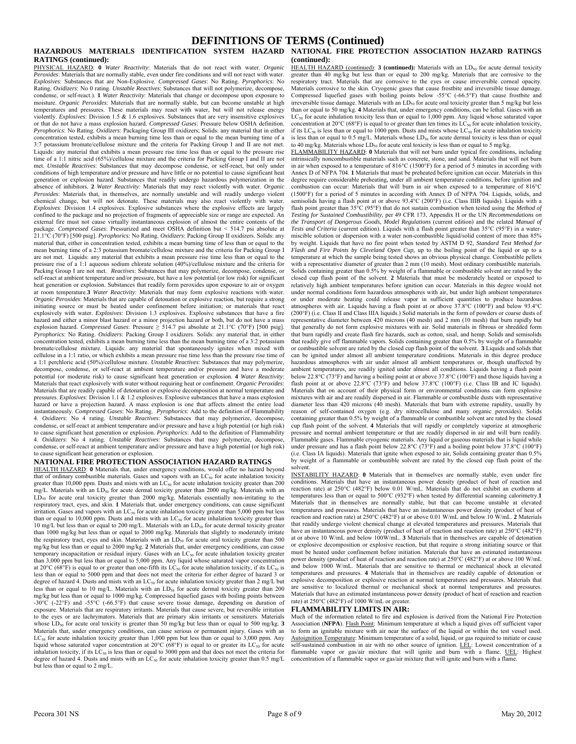#### **DEFINITIONS OF TERMS (Continued)**

## **RATINGS (continued):**

PHYSICAL HAZARD: **0** *Water Reactivity*: Materials that do not react with water. *Organic Peroxides*: Materials that are normally stable, even under fire conditions and will not react with water. *Explosives*: Substances that are Non-Explosive. *Compressed Gases*: No Rating. *Pyrophorics*: No Rating. *Oxidizers*: No 0 rating. *Unstable Reactives*: Substances that will not polymerize, decompose, condense, or self-react.). **1** *Water Reactivity*: Materials that change or decompose upon exposure to moisture. *Organic Peroxides*: Materials that are normally stable, but can become unstable at high temperatures and pressures. These materials may react with water, but will not release energy violently. *Explosives*: Division 1.5 & 1.6 explosives. Substances that are very insensitive explosives or that do not have a mass explosion hazard. *Compressed Gases*: Pressure below OSHA definition. *Pyrophorics*: No Rating. *Oxidizers*: Packaging Group III oxidizers; Solids: any material that in either concentration tested, exhibits a mean burning time less than or equal to the mean burning time of a 3:7 potassium bromate/cellulose mixture and the criteria for Packing Group I and II are not met. Liquids: any material that exhibits a mean pressure rise time less than or equal to the pressure rise time of a 1:1 nitric acid (65%)/cellulose mixture and the criteria for Packing Group I and II are not met. *Unstable Reactives*: Substances that may decompose condense, or self-react, but only under conditions of high temperature and/or pressure and have little or no potential to cause significant heat generation or explosion hazard. Substances that readily undergo hazardous polymerization in the absence of inhibitors. **2** *Water Reactivity*: Materials that may react violently with water. *Organic Peroxides*: Materials that, in themselves, are normally unstable and will readily undergo violent chemical change, but will not detonate. These materials may also react violently with water. *Explosives*: Division 1.4 explosives. Explosive substances where the explosive effects are largely confined to the package and no projection of fragments of appreciable size or range are expected. An external fire must not cause virtually instantaneous explosion of almost the entire contents of the package. *Compressed Gases*: Pressurized and meet OSHA definition but < 514.7 psi absolute at 21.1°C (70°F) [500 psig]. *Pyrophorics*: No Rating. *Oxidizers*: Packing Group II oxidizers. Solids: any material that, either in concentration tested, exhibits a mean burning time of less than or equal to the mean burning time of a 2:3 potassium bromate/cellulose mixture and the criteria for Packing Group I are not met. Liquids: any material that exhibits a mean pressure rise time less than or equal to the pressure rise of a 1:1 aqueous sodium chlorate solution (40%)/cellulose mixture and the criteria for Packing Group I are not met. *Reactives*: Substances that may polymerize, decompose, condense, or self-react at ambient temperature and/or pressure, but have a low potential (or low risk) for significant heat generation or explosion. Substances that readily form peroxides upon exposure to air or oxygen at room temperature.**3** *Water Reactivity*: Materials that may form explosive reactions with water. *Organic Peroxides*: Materials that are capable of detonation or explosive reaction, but require a strong initiating source or must be heated under confinement before initiation; or materials that react explosively with water. *Explosives*: Division 1.3 explosives. Explosive substances that have a fire hazard and either a minor blast hazard or a minor projection hazard or both, but do not have a mass explosion hazard. *Compressed Gases*: Pressure ≥ 514.7 psi absolute at 21.1°C (70°F) [500 psig]. *Pyrophorics*: No Rating. *Oxidizers*: Packing Group I oxidizers. Solids: any material that, in either concentration tested, exhibits a mean burning time less than the mean burning time of a 3:2 potassium bromate/cellulose mixture. Liquids: any material that spontaneously ignites when mixed with cellulose in a 1:1 ratio, or which exhibits a mean pressure rise time less than the pressure rise time of a 1:1 perchloric acid (50%)/cellulose mixture. *Unstable Reactives*: Substances that may polymerize, decompose, condense, or self-react at ambient temperature and/or pressure and have a moderate potential (or moderate risk) to cause significant heat generation or explosion. **4** *Water Reactivity*: Materials that react explosively with water without requiring heat or confinement. *Organic Peroxides*: Materials that are readily capable of detonation or explosive decomposition at normal temperature and pressures. *Explosives*: Division 1.1 & 1.2 explosives. Explosive substances that have a mass explosion hazard or have a projection hazard. A mass explosion is one that affects almost the entire load instantaneously. *Compressed Gases*: No Rating. *Pyrophorics*: Add to the definition of Flammability 4. *Oxidizers*: No 4 rating. *Unstable Reactives*: Substances that may polymerize, decompose, condense, or self-react at ambient temperature and/or pressure and have a high potential (or high risk) to cause significant heat generation or explosion. *Pyrophorics*: Add to the definition of Flammability 4. *Oxidizers*: No 4 rating. *Unstable Reactives*: Substances that may polymerize, decompose, condense, or self-react at ambient temperature and/or pressure and have a high potential (or high risk) to cause significant heat generation or explosion.

#### **NATIONAL FIRE PROTECTION ASSOCIATION HAZARD RATINGS**

HEALTH HAZARD: **0** Materials that, under emergency conditions, would offer no hazard beyond that of ordinary combustible materials. Gases and vapors with an  $LC_{50}$  for acute inhalation toxicity greater than 10,000 ppm. Dusts and mists with an  $LC_{50}$  for acute inhalation toxicity greater than 200 mg/L. Materials with an  $LD_{50}$  for acute dermal toxicity greater than 2000 mg/kg. Materials with an LD<sub>50</sub> for acute oral toxicity greater than 2000 mg/kg. Materials essentially non-irritating to the respiratory tract, eyes, and skin. **1** Materials that, under emergency conditions, can cause significant Itspiration. Gases and vapors with an LC<sub>50</sub> for acute inhalation toxicity greater than 5,000 ppm but less than or equal to 10,000 ppm. Dusts and mists with an  $LC_{50}$  for acute inhalation toxicity greater than 10 mg/L but less than or equal to 200 mg/L. Materials with an LD<sub>50</sub> for acute dermal toxicity greater than 1000 mg/kg but less than or equal to 2000 mg/kg. Materials that slightly to moderately irritate the respiratory tract, eyes and skin. Materials with an LD<sub>50</sub> for acute oral toxicity greater than 500 mg/kg but less than or equal to 2000 mg/kg. **2** Materials that, under emergency conditions, can cause temporary incapacitation or residual injury. Gases with an  $LC_{50}$  for acute inhalation toxicity greater than 3,000 ppm but less than or equal to 5,000 ppm. Any liquid whose saturated vapor concentration at 20°C (68°F) is equal to or greater than one-fifth its LC<sub>50</sub> for acute inhalation toxicity, if its LC<sub>50</sub> is less than or equal to 5000 ppm and that does not meet the criteria for either degree of hazard 3 or degree of hazard 4. Dusts and mists with an  $LC_{50}$  for acute inhalation toxicity greater than 2 mg/L but less than or equal to 10 mg/L. Materials with an  $LD_{50}$  for acute dermal toxicity greater than 200 mg/kg but less than or equal to 1000 mg/kg. Compressed liquefied gases with boiling points between -30°C (-22°F) and -55°C (-66.5°F) that cause severe tissue damage, depending on duration of exposure. Materials that are respiratory irritants. Materials that cause severe, but reversible irritation to the eyes or are lachrymators. Materials that are primary skin irritants or sensitizers. Materials whose LD<sub>50</sub> for acute oral toxicity is greater than 50 mg/kg but less than or equal to 500 mg/kg. 3 Materials that, under emergency conditions, can cause serious or permanent injury. Gases with an LC<sub>50</sub> for acute inhalation toxicity greater than 1,000 ppm but less than or equal to 3,000 ppm. Any liquid whose saturated vapor concentration at  $20^{\circ}C$  (68°F) is equal to or greater its  $LC_{50}$  for acute inhalation toxicity, if its  $LC_{50}$  is less than or equal to 3000 ppm and that does not meet the criteria for degree of hazard 4. Dusts and mists with an  $LC_{50}$  for acute inhalation toxicity greater than 0.5 mg/L but less than or equal to 2 mg/L.

#### **HAZARDOUS MATERIALS IDENTIFICATION SYSTEM HAZARD NATIONAL FIRE PROTECTION ASSOCIATION HAZARD RATINGS (continued):**

HEALTH HAZARD (continued): **3 (continued):** Materials with an LD<sub>50</sub> for acute dermal toxicity greater than 40 mg/kg but less than or equal to 200 mg/kg. Materials that are corrosive to the respiratory tract. Materials that are corrosive to the eyes or cause irreversible corneal opacity. Materials corrosive to the skin. Cryogenic gases that cause frostbite and irreversible tissue damage. Compressed liquefied gases with boiling points below -55°C (-66.5°F) that cause frostbite and irreversible tissue damage. Materials with an  $LD_{50}$  for acute oral toxicity greater than 5 mg/kg but less than or equal to 50 mg/kg. **4** Materials that, under emergency conditions, can be lethal. Gases with an  $LC_{50}$  for acute inhalation toxicity less than or equal to 1,000 ppm. Any liquid whose saturated vapor ncentration at 20°C (68°F) is equal to or greater than ten times its  $LC_{50}$  for acute inhalation toxicity, if its  $LC_{50}$  is less than or equal to 1000 ppm. Dusts and mists whose  $LC_{50}$  for acute inhalation toxicity is less than or equal to 0.5 mg/L. Materials whose LD<sub>50</sub> for acute dermal toxicity is less than or equal to 40 mg/kg. Materials whose  $LD_{50}$  for acute oral toxicity is less than or equal to 5 mg/kg.

FLAMMABILITY HAZARD: **0** Materials that will not burn under typical fire conditions, including intrinsically noncombustible materials such as concrete, stone, and sand. Materials that will not burn in air when exposed to a temperature of 816°C (1500°F) for a period of 5 minutes in according with Annex D of NFPA 704. **1** Materials that must be preheated before ignition can occur. Materials in this degree require considerable preheating, under all ambient temperature conditions, before ignition and combustion can occur: Materials that will burn in air when exposed to a temperature of 816°C (1500°F) for a period of 5 minutes in according with Annex D of NFPA 704. Liquids, solids, and semisolids having a flash point at or above 93.4°C (200°F) (i.e. Class IIIB liquids). Liquids with a flash point greater than 35°C (95°F) that do not sustain combustion when tested using the *Method of Testing for Sustained Combustibility*, per 49 CFR 173, Appendix H or the UN *Recommendations on the Transport of Dangerous Goods, Model Regulations* (current edition) and the related *Manual of Tests and Criteria* (current edition). Liquids with a flash point greater than 35°C (95°F) in a water-miscible solution or dispersion with a water non-combustible liquid/solid content of more than 85% by weight. Liquids that have no fire point when tested by ASTM D 92, *Standard Test Method for Flash and Fire Points by Cleveland Open Cup*, up to the boiling point of the liquid or up to a temperature at which the sample being tested shows an obvious physical change. Combustible pellets with a representative diameter of greater than 2 mm (10 mesh). Most ordinary combustible materials.<br>Solids containing greater than 0.5% by weight of a flammable or combustible solvent are rated by the closed cup flash point of the solvent. **2** Materials that must be moderately heated or exposed to relatively high ambient temperatures before ignition can occur. Materials in this degree would not under normal conditions form hazardous atmospheres with air, but under high ambient temperatures or under moderate heating could release vapor in sufficient quantities to produce hazardous atmospheres with air. Liquids having a flash point at or above 37.8°C (100°F) and below 93.4°C (200°F) (i.e. Class II and Class IIIA liquids.) Solid materials in the form of powders or coarse dusts of representative diameter between 420 microns (40 mesh) and 2 mm (10 mesh) that burn rapidly but that generally do not form explosive mixtures with air. Solid materials in fibrous or shredded form that burn rapidly and create flash fire hazards, such as cotton, sisal, and hemp. Solids and semisolids that readily give off flammable vapors. Solids containing greater than 0.5% by weight of a flammable or combustible solvent are rated by the closed cup flash point of the solvent. **3** Liquids and solids that can be ignited under almost all ambient temperature conditions. Materials in this degree produce hazardous atmospheres with air under almost all ambient temperatures or, though unaffected by ambient temperatures, are readily ignited under almost all conditions. Liquids having a flash point below 22.8°C (73°F) and having a boiling point at or above 37.8°C (100°F) and those liquids having a flash point at or above 22.8°C (73°F) and below 37.8°C (100°F) (i.e. Class IB and IC liquids). Materials that on account of their physical form or environmental conditions can form explosive mixtures with air and are readily dispersed in air. Flammable or combustible dusts with representative diameter less than 420 microns (40 mesh). Materials that burn with extreme rapidity, usually by reason of self-contained oxygen (e.g. dry nitrocellulose and many organic peroxides). Solids containing greater than 0.5% by weight of a flammable or combustible solvent are rated by the closed cup flash point of the solvent. **4** Materials that will rapidly or completely vaporize at atmospheric pressure and normal ambient temperature or that are readily dispersed in air and will burn readily. Flammable gases. Flammable cryogenic materials. Any liquid or gaseous materials that is liquid while under pressure and has a flash point below 22.8°C (73°F) and a boiling point below 37.8°C (100°F) (i.e. Class IA liquids). Materials that ignite when exposed to air, Solids containing greater than 0.5% by weight of a flammable or combustible solvent are rated by the closed cup flash point of the solvent.

INSTABILITY HAZARD: **0** Materials that in themselves are normally stable, even under fire conditions. Materials that have an instantaneous power density (product of heat of reaction and reaction rate) at 250°C (482°F) below 0.01 W/mL. Materials that do not exhibit an exotherm at temperatures less than or equal to 500°C (932°F) when tested by differential scanning calorimetry.**1** Materials that in themselves are normally stable, but that can become unstable at elevated temperatures and pressures. Materials that have an instantaneous power density (product of heat of reaction and reaction rate) at 250°C (482°F) at or above 0.01 W/mL and below 10 W/mL. **2** Materials that readily undergo violent chemical change at elevated temperatures and pressures. Materials that have an instantaneous power density (product of heat of reaction and reaction rate) at 250°C (482°F) at or above 10 W/mL and below 100W/mL. **3** Materials that in themselves are capable of detonation or explosive decomposition or explosive reaction, but that require a strong initiating source or that must be heated under confinement before initiation. Materials that have an estimated instantaneous power density (product of heat of reaction and reaction rate) at 250°C (482°F) at or above 100 W/mL and below 1000 W/mL. Materials that are sensitive to thermal or mechanical shock at elevated temperatures and pressures. **4** Materials that in themselves are readily capable of detonation or explosive decomposition or explosive reaction at normal temperatures and pressures. Materials that are sensitive to localized thermal or mechanical shock at normal temperatures and pressures. Materials that have an estimated instantaneous power density (product of heat of reaction and reaction rate) at 250°C (482°F) of 1000 W/mL or greater.

#### **FLAMMABILITY LIMITS IN AIR:**

Much of the information related to fire and explosion is derived from the National Fire Protection Association (NFPA). Flash Point: Minimum temperature at which a liquid gives off sufficient vapor to form an ignitable mixture with air near the surface of the liquid or within the test vessel used. Autoignition Temperature: Minimum temperature of a solid, liquid, or gas required to initiate or cause self-sustained combustion in air with no other source of ignition. LEL: Lowest concentration of a flammable vapor or gas/air mixture that will ignite and burn with a flame. UEL: Highest concentration of a flammable vapor or gas/air mixture that will ignite and burn with a flame.